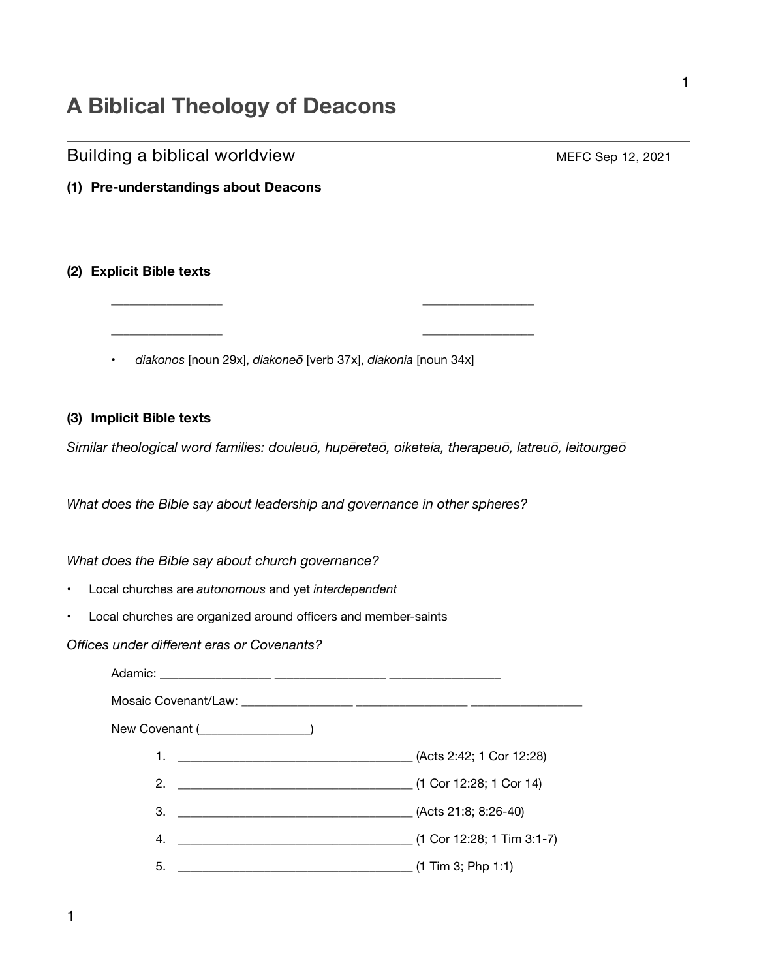# **A Biblical Theology of Deacons**

# Building a biblical worldview **Building a biblical worldview MEFC Sep 12, 2021 (1) Pre-understandings about Deacons (2) Explicit Bible texts**  \_\_\_\_\_\_\_\_\_\_\_\_\_\_\_\_\_\_ \_\_\_\_\_\_\_\_\_\_\_\_\_\_\_\_\_\_ \_\_\_\_\_\_\_\_\_\_\_\_\_\_\_\_\_\_ \_\_\_\_\_\_\_\_\_\_\_\_\_\_\_\_\_\_ • *diakonos* [noun 29x], *diakoneō* [verb 37x], *diakonia* [noun 34x] **(3) Implicit Bible texts**  *Similar theological word families: douleuō, hupēreteō, oiketeia, therapeuō, latreuō, leitourgeō What does the Bible say about leadership and governance in other spheres? What does the Bible say about church governance?*

- Local churches are *autonomous* and yet *interdependent*
- Local churches are organized around officers and member-saints

*Offices under different eras or Covenants?* 

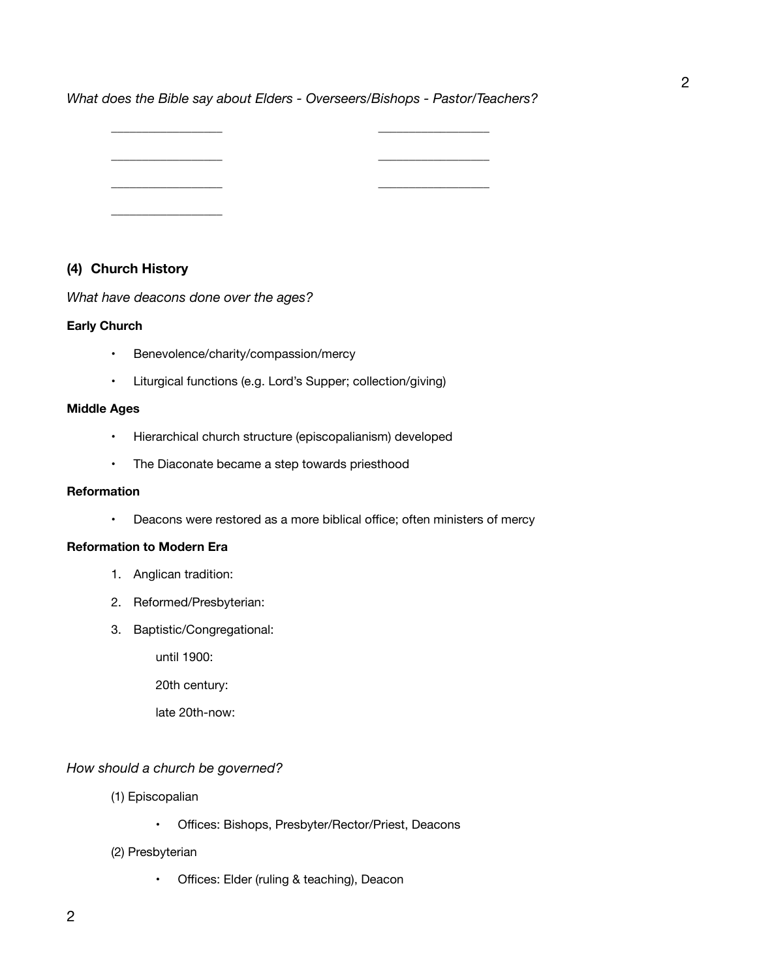*What does the Bible say about Elders - Overseers/Bishops - Pastor/Teachers?* 

\_\_\_\_\_\_\_\_\_\_\_\_\_\_\_\_\_\_ \_\_\_\_\_\_\_\_\_\_\_\_\_\_\_\_\_\_ \_\_\_\_\_\_\_\_\_\_\_\_\_\_\_\_\_\_ \_\_\_\_\_\_\_\_\_\_\_\_\_\_\_\_\_\_ \_\_\_\_\_\_\_\_\_\_\_\_\_\_\_\_\_\_ \_\_\_\_\_\_\_\_\_\_\_\_\_\_\_\_\_\_ \_\_\_\_\_\_\_\_\_\_\_\_\_\_\_\_\_\_

# **(4) Church History**

*What have deacons done over the ages?* 

#### **Early Church**

- Benevolence/charity/compassion/mercy
- Liturgical functions (e.g. Lord's Supper; collection/giving)

#### **Middle Ages**

- Hierarchical church structure (episcopalianism) developed
- The Diaconate became a step towards priesthood

#### **Reformation**

• Deacons were restored as a more biblical office; often ministers of mercy

#### **Reformation to Modern Era**

- 1. Anglican tradition:
- 2. Reformed/Presbyterian:
- 3. Baptistic/Congregational:

 until 1900:

 20th century:

 late 20th-now:

#### *How should a church be governed?*

- (1) Episcopalian
	- Offices: Bishops, Presbyter/Rector/Priest, Deacons
- (2) Presbyterian
	- Offices: Elder (ruling & teaching), Deacon